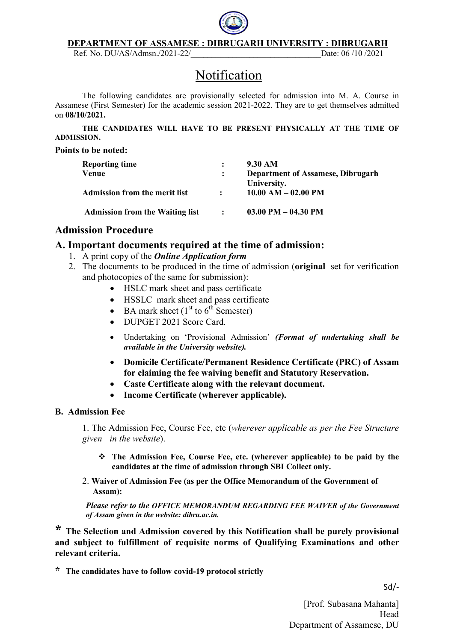

#### DEPARTMENT OF ASSAMESE : DIBRUGARH UNIVERSITY : DIBRUGARH

Ref. No. DU/AS/Admsn./2021-22/\_\_\_\_\_\_\_\_\_\_\_\_\_\_\_\_\_\_\_\_\_\_\_\_\_\_\_\_\_\_\_Date: 06 /10 /2021

## Notification

The following candidates are provisionally selected for admission into M. A. Course in Assamese (First Semester) for the academic session 2021-2022. They are to get themselves admitted on 08/10/2021.

THE CANDIDATES WILL HAVE TO BE PRESENT PHYSICALLY AT THE TIME OF ADMISSION.

#### Points to be noted:

| <b>Reporting time</b>                  |                | 9.30 AM                                  |
|----------------------------------------|----------------|------------------------------------------|
| Venue                                  |                | <b>Department of Assamese, Dibrugarh</b> |
|                                        |                | University.                              |
| <b>Admission from the merit list</b>   |                | $10.00$ AM $- 02.00$ PM                  |
|                                        |                |                                          |
| <b>Admission from the Waiting list</b> | $\ddot{\cdot}$ | $03.00$ PM $- 04.30$ PM                  |

### Admission Procedure

### A. Important documents required at the time of admission:

- 1. A print copy of the *Online Application form*
- 2. The documents to be produced in the time of admission (original set for verification and photocopies of the same for submission):
	- HSLC mark sheet and pass certificate
	- HSSLC mark sheet and pass certificate
	- $\bullet$  BA mark sheet (1<sup>st</sup> to 6<sup>th</sup> Semester)
	- DUPGET 2021 Score Card.
	- Undertaking on 'Provisional Admission' (Format of undertaking shall be available in the University website).
	- Domicile Certificate/Permanent Residence Certificate (PRC) of Assam for claiming the fee waiving benefit and Statutory Reservation.
	- Caste Certificate along with the relevant document.
	- Income Certificate (wherever applicable).

### B. Admission Fee

1. The Admission Fee, Course Fee, etc (wherever applicable as per the Fee Structure given in the website).

- The Admission Fee, Course Fee, etc. (wherever applicable) to be paid by the candidates at the time of admission through SBI Collect only.
- 2. Waiver of Admission Fee (as per the Office Memorandum of the Government of Assam):

Please refer to the OFFICE MEMORANDUM REGARDING FEE WAIVER of the Government of Assam given in the website: dibru.ac.in.

\* The Selection and Admission covered by this Notification shall be purely provisional and subject to fulfillment of requisite norms of Qualifying Examinations and other relevant criteria.

\* The candidates have to follow covid-19 protocol strictly

Sd/-

[Prof. Subasana Mahanta] Head Department of Assamese, DU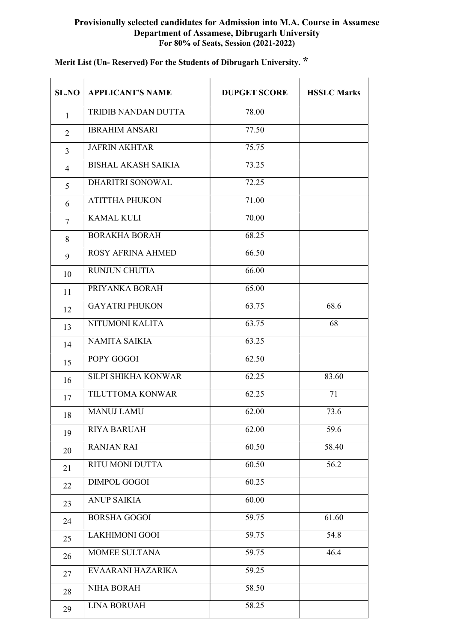### Provisionally selected candidates for Admission into M.A. Course in Assamese Department of Assamese, Dibrugarh University For 80% of Seats, Session (2021-2022)

| <b>SL.NO</b>   | <b>APPLICANT'S NAME</b>    | <b>DUPGET SCORE</b> | <b>HSSLC Marks</b> |
|----------------|----------------------------|---------------------|--------------------|
| $\mathbf{1}$   | TRIDIB NANDAN DUTTA        | 78.00               |                    |
| $\overline{2}$ | <b>IBRAHIM ANSARI</b>      | 77.50               |                    |
| $\overline{3}$ | <b>JAFRIN AKHTAR</b>       | 75.75               |                    |
| $\overline{4}$ | <b>BISHAL AKASH SAIKIA</b> | 73.25               |                    |
| 5              | <b>DHARITRI SONOWAL</b>    | 72.25               |                    |
| 6              | <b>ATITTHA PHUKON</b>      | 71.00               |                    |
| 7              | <b>KAMAL KULI</b>          | 70.00               |                    |
| 8              | <b>BORAKHA BORAH</b>       | 68.25               |                    |
| 9              | <b>ROSY AFRINA AHMED</b>   | 66.50               |                    |
| 10             | <b>RUNJUN CHUTIA</b>       | 66.00               |                    |
| 11             | PRIYANKA BORAH             | 65.00               |                    |
| 12             | <b>GAYATRI PHUKON</b>      | 63.75               | 68.6               |
| 13             | NITUMONI KALITA            | 63.75               | 68                 |
| 14             | <b>NAMITA SAIKIA</b>       | 63.25               |                    |
| 15             | POPY GOGOI                 | 62.50               |                    |
| 16             | SILPI SHIKHA KONWAR        | 62.25               | 83.60              |
| 17             | TILUTTOMA KONWAR           | 62.25               | 71                 |
| 18             | <b>MANUJ LAMU</b>          | 62.00               | 73.6               |
| 19             | <b>RIYA BARUAH</b>         | 62.00               | 59.6               |
| 20             | <b>RANJAN RAI</b>          | 60.50               | 58.40              |
| 21             | RITU MONI DUTTA            | 60.50               | 56.2               |
| 22             | <b>DIMPOL GOGOI</b>        | 60.25               |                    |
| 23             | <b>ANUP SAIKIA</b>         | 60.00               |                    |
| 24             | <b>BORSHA GOGOI</b>        | 59.75               | 61.60              |
| 25             | <b>LAKHIMONI GOOI</b>      | 59.75               | 54.8               |
| 26             | MOMEE SULTANA              | 59.75               | 46.4               |
| 27             | EVAARANI HAZARIKA          | 59.25               |                    |
| 28             | <b>NIHA BORAH</b>          | 58.50               |                    |
| 29             | <b>LINA BORUAH</b>         | 58.25               |                    |

## Merit List (Un- Reserved) For the Students of Dibrugarh University. \*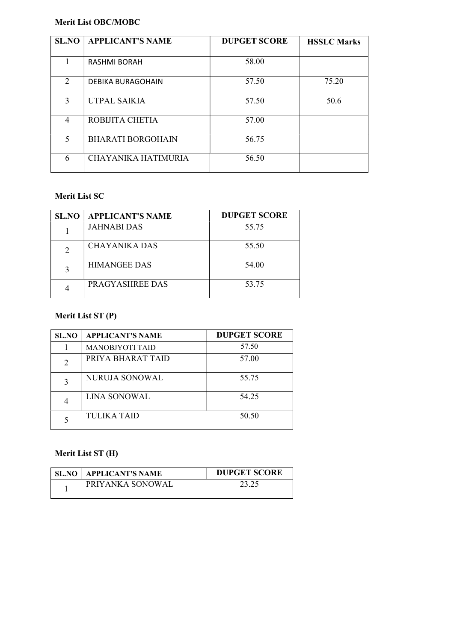### Merit List OBC/MOBC

| <b>SL.NO</b> | <b>APPLICANT'S NAME</b>  | <b>DUPGET SCORE</b> | <b>HSSLC Marks</b> |
|--------------|--------------------------|---------------------|--------------------|
|              |                          |                     |                    |
|              | <b>RASHMI BORAH</b>      | 58.00               |                    |
| 2            | <b>DEBIKA BURAGOHAIN</b> | 57.50               | 75.20              |
| 3            | UTPAL SAIKIA             | 57.50               | 50.6               |
| 4            | ROBIJITA CHETIA          | 57.00               |                    |
| 5            | <b>BHARATI BORGOHAIN</b> | 56.75               |                    |
| 6            | CHAYANIKA HATIMURIA      | 56.50               |                    |

### Merit List SC

| <b>SL.NO</b> | <b>APPLICANT'S NAME</b> | <b>DUPGET SCORE</b> |
|--------------|-------------------------|---------------------|
|              | <b>JAHNABI DAS</b>      | 55.75               |
|              | CHAYANIKA DAS           | 55.50               |
|              | <b>HIMANGEE DAS</b>     | 54.00               |
|              | PRAGYASHREE DAS         | 53.75               |

### Merit List ST (P)

| <b>SL.NO</b>                | <b>APPLICANT'S NAME</b> | <b>DUPGET SCORE</b> |
|-----------------------------|-------------------------|---------------------|
|                             | <b>MANOBJYOTI TAID</b>  | 57.50               |
| $\mathcal{D}_{\mathcal{A}}$ | PRIYA BHARAT TAID       | 57.00               |
| 3                           | NURUJA SONOWAL          | 55.75               |
|                             | LINA SONOWAL            | 54.25               |
|                             | <b>TULIKA TAID</b>      | 50.50               |

### Merit List ST (H)

| <b>SL.NO   APPLICANT'S NAME</b> | <b>DUPGET SCORE</b> |
|---------------------------------|---------------------|
| <b>PRIYANKA SONOWAL</b>         |                     |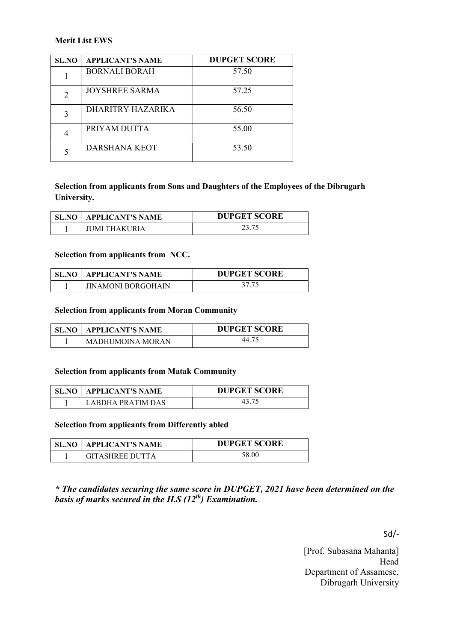### Merit List EWS

| SL.NO         | <b>APPLICANT'S NAME</b> | <b>DUPGET SCORE</b> |
|---------------|-------------------------|---------------------|
|               | <b>BORNALI BORAH</b>    | 57.50               |
| $\mathcal{D}$ | JOYSHREE SARMA          | 57.25               |
| 3             | DHARITRY HAZARIKA       | 56.50               |
|               | PRIYAM DUTTA            | 55.00               |
|               | DARSHANA KEOT           | 53.50               |

### Selection from applicants from Sons and Daughters of the Employees of the Dibrugarh University.

| <b>SL.NO</b> | ' APPLICANT'S NAME | <b>DUPGET SCORE</b> |
|--------------|--------------------|---------------------|
|              | IUMI THAKURIA      |                     |

#### Selection from applicants from NCC.

| SL.NO | APPLICANT'S NAME          | <b>DUPGET SCORE</b> |
|-------|---------------------------|---------------------|
|       | <b>IINAMONI BORGOHAIN</b> |                     |

### Selection from applicants from Moran Community

| SL.NO | <b>APPLICANT'S NAME</b> | <b>DUPGET SCORE</b> |
|-------|-------------------------|---------------------|
|       | MADHUMOINA MORAN        |                     |

#### Selection from applicants from Matak Community

| SL.NO | <b>APPLICANT'S NAME</b> | <b>DUPGET SCORE</b> |
|-------|-------------------------|---------------------|
|       | LARDHA PRATIM DAS       |                     |

#### Selection from applicants from Differently abled

| SL.NO | <b>APPLICANT'S NAME</b> | <b>DUPGET SCORE</b> |
|-------|-------------------------|---------------------|
|       | GITASHREE DI ITTA       | 58.00               |

\* The candidates securing the same score in DUPGET, 2021 have been determined on the basis of marks secured in the H.S  $(12^{th})$  Examination.

Sd/-

[Prof. Subasana Mahanta] Head Department of Assamese, Dibrugarh University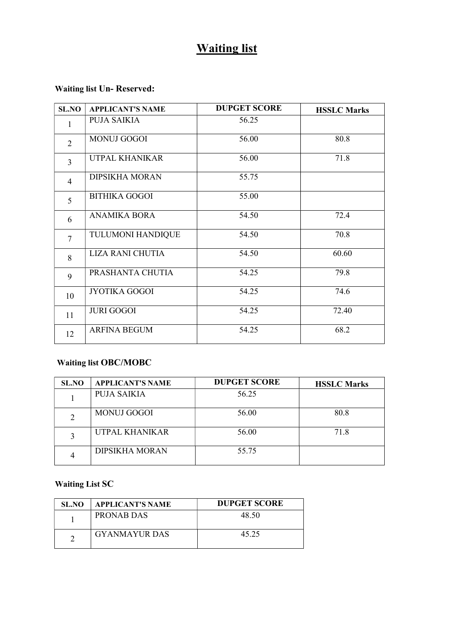## Waiting list

### Waiting list Un- Reserved:

| <b>SL.NO</b>   | <b>APPLICANT'S NAME</b>  | <b>DUPGET SCORE</b> | <b>HSSLC Marks</b> |
|----------------|--------------------------|---------------------|--------------------|
| 1              | PUJA SAIKIA              | 56.25               |                    |
| $\overline{2}$ | <b>MONUJ GOGOI</b>       | 56.00               | 80.8               |
| $\overline{3}$ | UTPAL KHANIKAR           | 56.00               | 71.8               |
| $\overline{4}$ | <b>DIPSIKHA MORAN</b>    | 55.75               |                    |
| 5              | <b>BITHIKA GOGOI</b>     | 55.00               |                    |
| 6              | <b>ANAMIKA BORA</b>      | 54.50               | 72.4               |
| $\overline{7}$ | <b>TULUMONI HANDIQUE</b> | 54.50               | 70.8               |
| 8              | <b>LIZA RANI CHUTIA</b>  | 54.50               | 60.60              |
| 9              | PRASHANTA CHUTIA         | 54.25               | 79.8               |
| 10             | <b>JYOTIKA GOGOI</b>     | 54.25               | 74.6               |
| 11             | <b>JURI GOGOI</b>        | 54.25               | 72.40              |
| 12             | <b>ARFINA BEGUM</b>      | 54.25               | 68.2               |

### Waiting list OBC/MOBC

| SL.NO | <b>APPLICANT'S NAME</b> | <b>DUPGET SCORE</b> | <b>HSSLC Marks</b> |
|-------|-------------------------|---------------------|--------------------|
|       | PUJA SAIKIA             | 56.25               |                    |
|       | <b>MONUJ GOGOI</b>      | 56.00               | 80.8               |
|       | UTPAL KHANIKAR          | 56.00               | 71.8               |
|       | <b>DIPSIKHA MORAN</b>   | 55.75               |                    |

### Waiting List SC

| SL.NO | <b>APPLICANT'S NAME</b> | <b>DUPGET SCORE</b> |
|-------|-------------------------|---------------------|
|       | PRONAB DAS              | 48.50               |
|       | <b>GYANMAYUR DAS</b>    | 45.25               |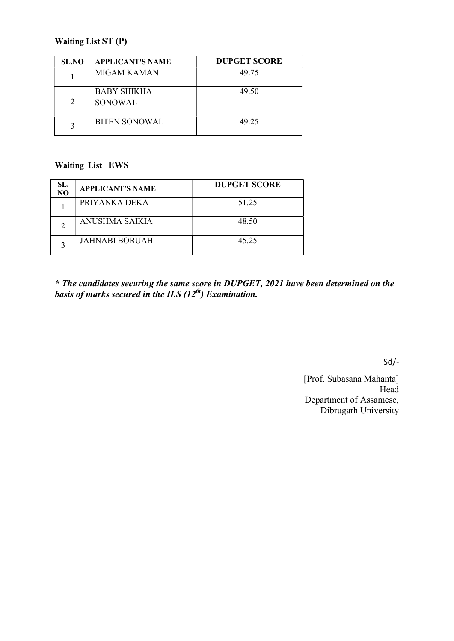### Waiting List ST (P)

| <b>SL.NO</b> | <b>APPLICANT'S NAME</b> | <b>DUPGET SCORE</b> |
|--------------|-------------------------|---------------------|
|              | MIGAM KAMAN             | 49.75               |
| 2            | BABY SHIKHA<br>SONOWAL. | 49.50               |
|              | <b>BITEN SONOWAL</b>    | 49.25               |

### Waiting List EWS

| SL.<br>NO | <b>APPLICANT'S NAME</b> | <b>DUPGET SCORE</b> |
|-----------|-------------------------|---------------------|
|           | PRIYANKA DEKA           | 51.25               |
|           | ANUSHMA SAIKIA          | 48.50               |
|           | <b>JAHNABI BORUAH</b>   | 45.25               |

\* The candidates securing the same score in DUPGET, 2021 have been determined on the basis of marks secured in the H.S  $(12^{th})$  Examination.

Sd/-

[Prof. Subasana Mahanta] Head Department of Assamese, Dibrugarh University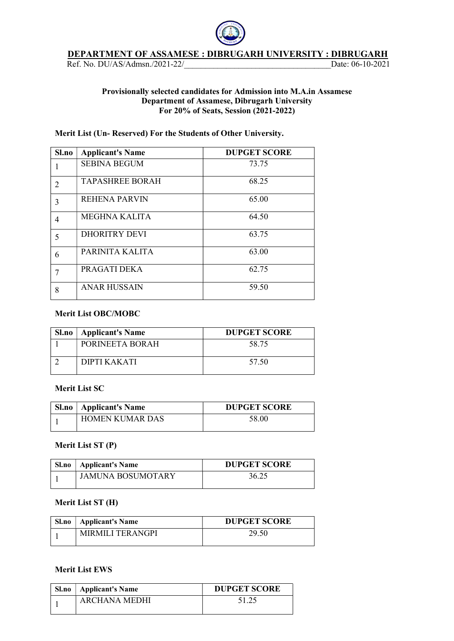#### DEPARTMENT OF ASSAMESE : DIBRUGARH UNIVERSITY : DIBRUGARH

Ref. No. DU/AS/Admsn./2021-22/\_\_\_\_\_\_\_\_\_\_\_\_\_\_\_\_\_\_\_\_\_\_\_\_\_\_\_\_\_\_\_\_\_\_\_Date: 06-10-2021

### Provisionally selected candidates for Admission into M.A.in Assamese Department of Assamese, Dibrugarh University For 20% of Seats, Session (2021-2022)

### Merit List (Un- Reserved) For the Students of Other University.

| Sl.no | <b>Applicant's Name</b> | <b>DUPGET SCORE</b> |
|-------|-------------------------|---------------------|
|       | <b>SEBINA BEGUM</b>     | 73.75               |
| 2     | <b>TAPASHREE BORAH</b>  | 68.25               |
| 3     | <b>REHENA PARVIN</b>    | 65.00               |
| 4     | MEGHNA KALITA           | 64.50               |
| 5     | <b>DHORITRY DEVI</b>    | 63.75               |
| 6     | PARINITA KALITA         | 63.00               |
| 7     | PRAGATI DEKA            | 62.75               |
| 8     | <b>ANAR HUSSAIN</b>     | 59.50               |

### Merit List OBC/MOBC

| <b>Sl.no</b>   Applicant's Name | <b>DUPGET SCORE</b> |
|---------------------------------|---------------------|
| PORINEETA BORAH                 | 58.75               |
| DIPTI KAKATI                    | 57.50               |

### Merit List SC

| <b>Sl.no</b>   Applicant's Name | <b>DUPGET SCORE</b> |
|---------------------------------|---------------------|
| <b>HOMEN KUMAR DAS</b>          | 58.00               |

#### Merit List ST (P)

| Sl.no | Applicant's Name  | <b>DUPGET SCORE</b> |
|-------|-------------------|---------------------|
|       | JAMUNA BOSUMOTARY | 36.25               |

#### Merit List ST (H)

| <b>Sl.no</b>   Applicant's Name | <b>DUPGET SCORE</b> |
|---------------------------------|---------------------|
| MIRMILI TERANGPI                | 29.50               |

#### Merit List EWS

| <b>Sl.no</b>   Applicant's Name | <b>DUPGET SCORE</b> |
|---------------------------------|---------------------|
| ARCHANA MEDHI                   |                     |